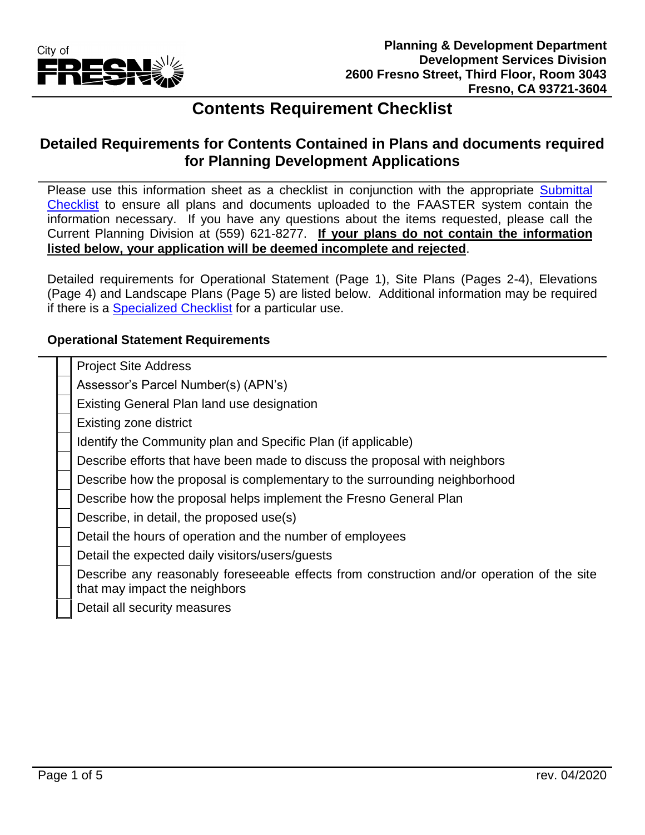

# **Contents Requirement Checklist**

### **Detailed Requirements for Contents Contained in Plans and documents required for Planning Development Applications**

Please use this information sheet as a checklist in conjunction with the appropriate Submittal [Checklist](https://www.fresno.gov/darm/planning-development/applications-forms-fees/#tab-02) to ensure all plans and documents uploaded to the FAASTER system contain the information necessary. If you have any questions about the items requested, please call the Current Planning Division at (559) 621-8277. **If your plans do not contain the information listed below, your application will be deemed incomplete and rejected**.

Detailed requirements for Operational Statement (Page 1), Site Plans (Pages 2-4), Elevations (Page 4) and Landscape Plans (Page 5) are listed below. Additional information may be required if there is a [Specialized Checklist](https://www.fresno.gov/darm/planning-development/applications-forms-fees/#tab-02) for a particular use.

#### **Operational Statement Requirements**

|  | <b>Project Site Address</b>                                                                |
|--|--------------------------------------------------------------------------------------------|
|  | Assessor's Parcel Number(s) (APN's)                                                        |
|  | Existing General Plan land use designation                                                 |
|  | Existing zone district                                                                     |
|  | Identify the Community plan and Specific Plan (if applicable)                              |
|  | Describe efforts that have been made to discuss the proposal with neighbors                |
|  | Describe how the proposal is complementary to the surrounding neighborhood                 |
|  | Describe how the proposal helps implement the Fresno General Plan                          |
|  | Describe, in detail, the proposed use(s)                                                   |
|  | Detail the hours of operation and the number of employees                                  |
|  | Detail the expected daily visitors/users/guests                                            |
|  | Describe any reasonably foreseeable effects from construction and/or operation of the site |
|  | that may impact the neighbors                                                              |
|  | Detail all security measures                                                               |
|  |                                                                                            |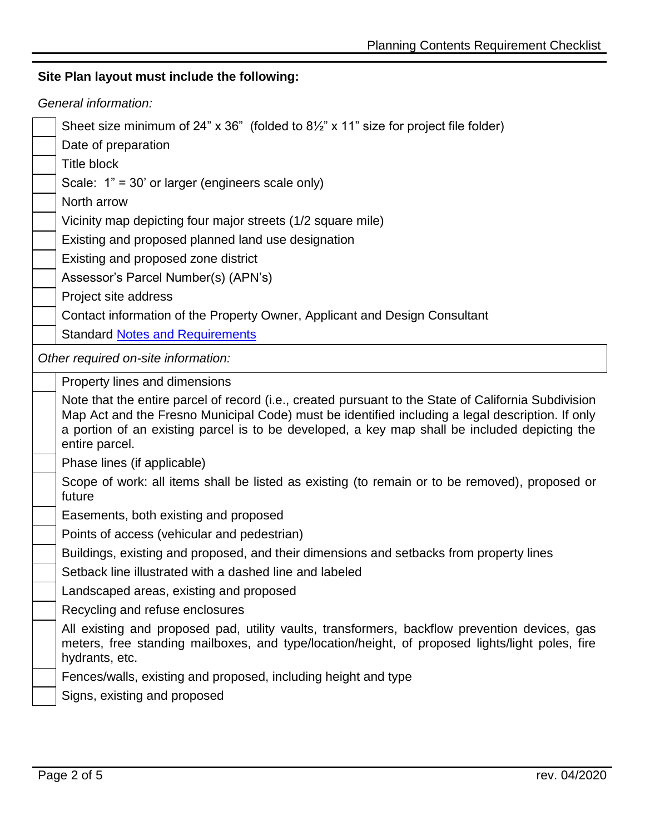## **Site Plan layout must include the following:**

| Sheet size minimum of 24" $\times$ 36" (folded to 81/2" $\times$ 11" size for project file folder)<br>Date of preparation<br><b>Title block</b><br>Scale: $1" = 30'$ or larger (engineers scale only)<br>North arrow<br>Vicinity map depicting four major streets (1/2 square mile)<br>Existing and proposed planned land use designation<br>Existing and proposed zone district<br>Assessor's Parcel Number(s) (APN's)<br>Project site address<br>Contact information of the Property Owner, Applicant and Design Consultant<br><b>Standard Notes and Requirements</b><br>Other required on-site information:<br>Property lines and dimensions<br>Note that the entire parcel of record (i.e., created pursuant to the State of California Subdivision<br>Map Act and the Fresno Municipal Code) must be identified including a legal description. If only<br>a portion of an existing parcel is to be developed, a key map shall be included depicting the<br>entire parcel.<br>Phase lines (if applicable)<br>Scope of work: all items shall be listed as existing (to remain or to be removed), proposed or<br>future<br>Easements, both existing and proposed<br>Points of access (vehicular and pedestrian)<br>Buildings, existing and proposed, and their dimensions and setbacks from property lines<br>Setback line illustrated with a dashed line and labeled<br>Landscaped areas, existing and proposed<br>Recycling and refuse enclosures<br>All existing and proposed pad, utility vaults, transformers, backflow prevention devices, gas<br>meters, free standing mailboxes, and type/location/height, of proposed lights/light poles, fire<br>hydrants, etc.<br>Fences/walls, existing and proposed, including height and type<br>Signs, existing and proposed | General information: |  |  |
|-------------------------------------------------------------------------------------------------------------------------------------------------------------------------------------------------------------------------------------------------------------------------------------------------------------------------------------------------------------------------------------------------------------------------------------------------------------------------------------------------------------------------------------------------------------------------------------------------------------------------------------------------------------------------------------------------------------------------------------------------------------------------------------------------------------------------------------------------------------------------------------------------------------------------------------------------------------------------------------------------------------------------------------------------------------------------------------------------------------------------------------------------------------------------------------------------------------------------------------------------------------------------------------------------------------------------------------------------------------------------------------------------------------------------------------------------------------------------------------------------------------------------------------------------------------------------------------------------------------------------------------------------------------------------------------------------------------------------------------------------------------------------------|----------------------|--|--|
|                                                                                                                                                                                                                                                                                                                                                                                                                                                                                                                                                                                                                                                                                                                                                                                                                                                                                                                                                                                                                                                                                                                                                                                                                                                                                                                                                                                                                                                                                                                                                                                                                                                                                                                                                                               |                      |  |  |
|                                                                                                                                                                                                                                                                                                                                                                                                                                                                                                                                                                                                                                                                                                                                                                                                                                                                                                                                                                                                                                                                                                                                                                                                                                                                                                                                                                                                                                                                                                                                                                                                                                                                                                                                                                               |                      |  |  |
|                                                                                                                                                                                                                                                                                                                                                                                                                                                                                                                                                                                                                                                                                                                                                                                                                                                                                                                                                                                                                                                                                                                                                                                                                                                                                                                                                                                                                                                                                                                                                                                                                                                                                                                                                                               |                      |  |  |
|                                                                                                                                                                                                                                                                                                                                                                                                                                                                                                                                                                                                                                                                                                                                                                                                                                                                                                                                                                                                                                                                                                                                                                                                                                                                                                                                                                                                                                                                                                                                                                                                                                                                                                                                                                               |                      |  |  |
|                                                                                                                                                                                                                                                                                                                                                                                                                                                                                                                                                                                                                                                                                                                                                                                                                                                                                                                                                                                                                                                                                                                                                                                                                                                                                                                                                                                                                                                                                                                                                                                                                                                                                                                                                                               |                      |  |  |
|                                                                                                                                                                                                                                                                                                                                                                                                                                                                                                                                                                                                                                                                                                                                                                                                                                                                                                                                                                                                                                                                                                                                                                                                                                                                                                                                                                                                                                                                                                                                                                                                                                                                                                                                                                               |                      |  |  |
|                                                                                                                                                                                                                                                                                                                                                                                                                                                                                                                                                                                                                                                                                                                                                                                                                                                                                                                                                                                                                                                                                                                                                                                                                                                                                                                                                                                                                                                                                                                                                                                                                                                                                                                                                                               |                      |  |  |
|                                                                                                                                                                                                                                                                                                                                                                                                                                                                                                                                                                                                                                                                                                                                                                                                                                                                                                                                                                                                                                                                                                                                                                                                                                                                                                                                                                                                                                                                                                                                                                                                                                                                                                                                                                               |                      |  |  |
|                                                                                                                                                                                                                                                                                                                                                                                                                                                                                                                                                                                                                                                                                                                                                                                                                                                                                                                                                                                                                                                                                                                                                                                                                                                                                                                                                                                                                                                                                                                                                                                                                                                                                                                                                                               |                      |  |  |
|                                                                                                                                                                                                                                                                                                                                                                                                                                                                                                                                                                                                                                                                                                                                                                                                                                                                                                                                                                                                                                                                                                                                                                                                                                                                                                                                                                                                                                                                                                                                                                                                                                                                                                                                                                               |                      |  |  |
|                                                                                                                                                                                                                                                                                                                                                                                                                                                                                                                                                                                                                                                                                                                                                                                                                                                                                                                                                                                                                                                                                                                                                                                                                                                                                                                                                                                                                                                                                                                                                                                                                                                                                                                                                                               |                      |  |  |
|                                                                                                                                                                                                                                                                                                                                                                                                                                                                                                                                                                                                                                                                                                                                                                                                                                                                                                                                                                                                                                                                                                                                                                                                                                                                                                                                                                                                                                                                                                                                                                                                                                                                                                                                                                               |                      |  |  |
|                                                                                                                                                                                                                                                                                                                                                                                                                                                                                                                                                                                                                                                                                                                                                                                                                                                                                                                                                                                                                                                                                                                                                                                                                                                                                                                                                                                                                                                                                                                                                                                                                                                                                                                                                                               |                      |  |  |
|                                                                                                                                                                                                                                                                                                                                                                                                                                                                                                                                                                                                                                                                                                                                                                                                                                                                                                                                                                                                                                                                                                                                                                                                                                                                                                                                                                                                                                                                                                                                                                                                                                                                                                                                                                               |                      |  |  |
|                                                                                                                                                                                                                                                                                                                                                                                                                                                                                                                                                                                                                                                                                                                                                                                                                                                                                                                                                                                                                                                                                                                                                                                                                                                                                                                                                                                                                                                                                                                                                                                                                                                                                                                                                                               |                      |  |  |
|                                                                                                                                                                                                                                                                                                                                                                                                                                                                                                                                                                                                                                                                                                                                                                                                                                                                                                                                                                                                                                                                                                                                                                                                                                                                                                                                                                                                                                                                                                                                                                                                                                                                                                                                                                               |                      |  |  |
|                                                                                                                                                                                                                                                                                                                                                                                                                                                                                                                                                                                                                                                                                                                                                                                                                                                                                                                                                                                                                                                                                                                                                                                                                                                                                                                                                                                                                                                                                                                                                                                                                                                                                                                                                                               |                      |  |  |
|                                                                                                                                                                                                                                                                                                                                                                                                                                                                                                                                                                                                                                                                                                                                                                                                                                                                                                                                                                                                                                                                                                                                                                                                                                                                                                                                                                                                                                                                                                                                                                                                                                                                                                                                                                               |                      |  |  |
|                                                                                                                                                                                                                                                                                                                                                                                                                                                                                                                                                                                                                                                                                                                                                                                                                                                                                                                                                                                                                                                                                                                                                                                                                                                                                                                                                                                                                                                                                                                                                                                                                                                                                                                                                                               |                      |  |  |
|                                                                                                                                                                                                                                                                                                                                                                                                                                                                                                                                                                                                                                                                                                                                                                                                                                                                                                                                                                                                                                                                                                                                                                                                                                                                                                                                                                                                                                                                                                                                                                                                                                                                                                                                                                               |                      |  |  |
|                                                                                                                                                                                                                                                                                                                                                                                                                                                                                                                                                                                                                                                                                                                                                                                                                                                                                                                                                                                                                                                                                                                                                                                                                                                                                                                                                                                                                                                                                                                                                                                                                                                                                                                                                                               |                      |  |  |
|                                                                                                                                                                                                                                                                                                                                                                                                                                                                                                                                                                                                                                                                                                                                                                                                                                                                                                                                                                                                                                                                                                                                                                                                                                                                                                                                                                                                                                                                                                                                                                                                                                                                                                                                                                               |                      |  |  |
|                                                                                                                                                                                                                                                                                                                                                                                                                                                                                                                                                                                                                                                                                                                                                                                                                                                                                                                                                                                                                                                                                                                                                                                                                                                                                                                                                                                                                                                                                                                                                                                                                                                                                                                                                                               |                      |  |  |
|                                                                                                                                                                                                                                                                                                                                                                                                                                                                                                                                                                                                                                                                                                                                                                                                                                                                                                                                                                                                                                                                                                                                                                                                                                                                                                                                                                                                                                                                                                                                                                                                                                                                                                                                                                               |                      |  |  |
|                                                                                                                                                                                                                                                                                                                                                                                                                                                                                                                                                                                                                                                                                                                                                                                                                                                                                                                                                                                                                                                                                                                                                                                                                                                                                                                                                                                                                                                                                                                                                                                                                                                                                                                                                                               |                      |  |  |
|                                                                                                                                                                                                                                                                                                                                                                                                                                                                                                                                                                                                                                                                                                                                                                                                                                                                                                                                                                                                                                                                                                                                                                                                                                                                                                                                                                                                                                                                                                                                                                                                                                                                                                                                                                               |                      |  |  |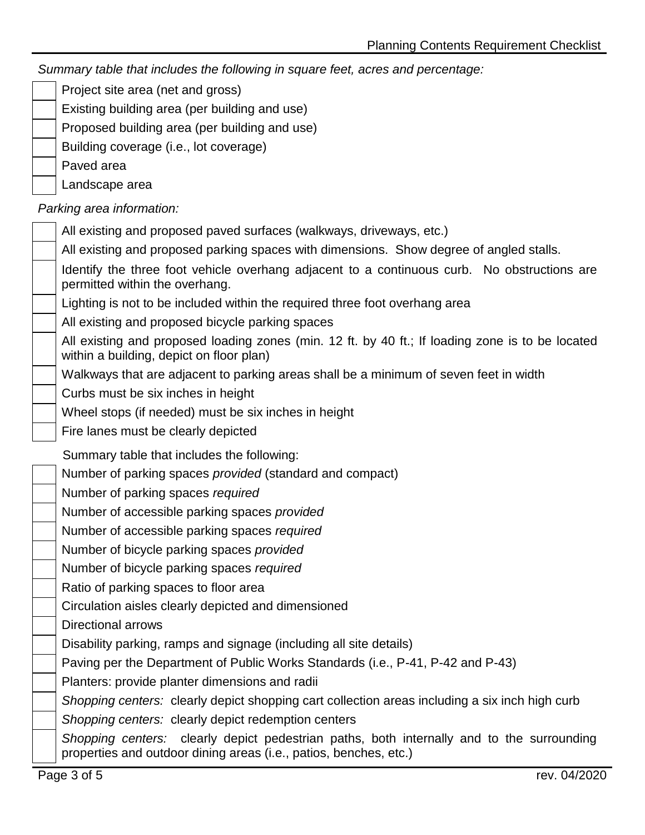*Summary table that includes the following in square feet, acres and percentage:*

Project site area (net and gross)

- Existing building area (per building and use)
- Proposed building area (per building and use)
- Building coverage (i.e., lot coverage)
- Paved area

Landscape area

*Parking area information:*

| Parking area implified in                                                                                                                                      |
|----------------------------------------------------------------------------------------------------------------------------------------------------------------|
| All existing and proposed paved surfaces (walkways, driveways, etc.)                                                                                           |
| All existing and proposed parking spaces with dimensions. Show degree of angled stalls.                                                                        |
| Identify the three foot vehicle overhang adjacent to a continuous curb. No obstructions are<br>permitted within the overhang.                                  |
| Lighting is not to be included within the required three foot overhang area                                                                                    |
| All existing and proposed bicycle parking spaces                                                                                                               |
| All existing and proposed loading zones (min. 12 ft. by 40 ft.; If loading zone is to be located<br>within a building, depict on floor plan)                   |
| Walkways that are adjacent to parking areas shall be a minimum of seven feet in width                                                                          |
| Curbs must be six inches in height                                                                                                                             |
| Wheel stops (if needed) must be six inches in height                                                                                                           |
| Fire lanes must be clearly depicted                                                                                                                            |
| Summary table that includes the following:                                                                                                                     |
| Number of parking spaces <i>provided</i> (standard and compact)                                                                                                |
| Number of parking spaces required                                                                                                                              |
| Number of accessible parking spaces provided                                                                                                                   |
| Number of accessible parking spaces required                                                                                                                   |
| Number of bicycle parking spaces provided                                                                                                                      |
| Number of bicycle parking spaces required                                                                                                                      |
| Ratio of parking spaces to floor area                                                                                                                          |
| Circulation aisles clearly depicted and dimensioned                                                                                                            |
| <b>Directional arrows</b>                                                                                                                                      |
| Disability parking, ramps and signage (including all site details)                                                                                             |
| Paving per the Department of Public Works Standards (i.e., P-41, P-42 and P-43)                                                                                |
| Planters: provide planter dimensions and radii                                                                                                                 |
| Shopping centers: clearly depict shopping cart collection areas including a six inch high curb                                                                 |
| Shopping centers: clearly depict redemption centers                                                                                                            |
| Shopping centers: clearly depict pedestrian paths, both internally and to the surrounding<br>properties and outdoor dining areas (i.e., patios, benches, etc.) |
| Page 3 of 5<br>rev. 04/2020                                                                                                                                    |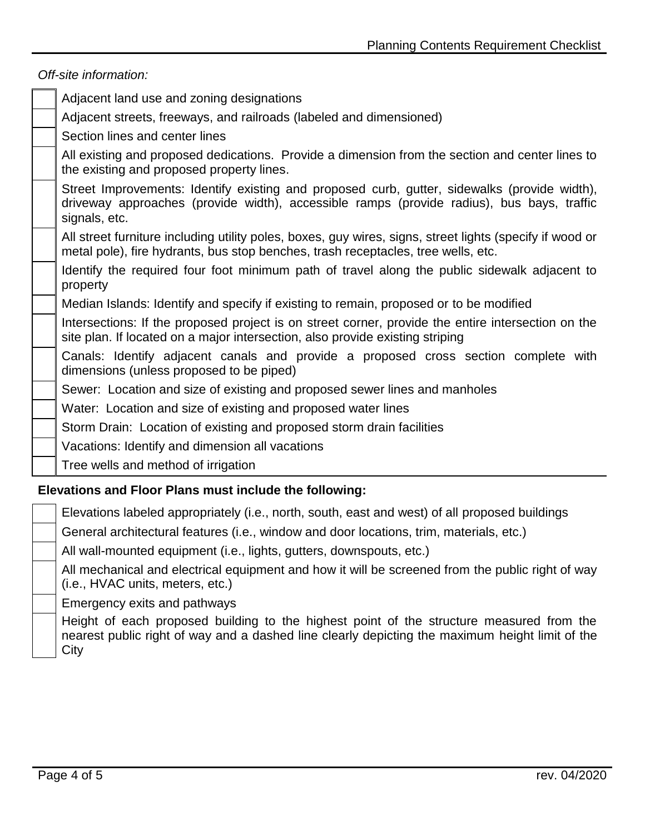|                                                        | Off-site information:                                                                                                                                                                                      |  |  |
|--------------------------------------------------------|------------------------------------------------------------------------------------------------------------------------------------------------------------------------------------------------------------|--|--|
|                                                        | Adjacent land use and zoning designations                                                                                                                                                                  |  |  |
|                                                        | Adjacent streets, freeways, and railroads (labeled and dimensioned)                                                                                                                                        |  |  |
|                                                        | Section lines and center lines                                                                                                                                                                             |  |  |
|                                                        | All existing and proposed dedications. Provide a dimension from the section and center lines to<br>the existing and proposed property lines.                                                               |  |  |
|                                                        | Street Improvements: Identify existing and proposed curb, gutter, sidewalks (provide width),<br>driveway approaches (provide width), accessible ramps (provide radius), bus bays, traffic<br>signals, etc. |  |  |
|                                                        | All street furniture including utility poles, boxes, guy wires, signs, street lights (specify if wood or<br>metal pole), fire hydrants, bus stop benches, trash receptacles, tree wells, etc.              |  |  |
|                                                        | Identify the required four foot minimum path of travel along the public sidewalk adjacent to<br>property                                                                                                   |  |  |
|                                                        | Median Islands: Identify and specify if existing to remain, proposed or to be modified                                                                                                                     |  |  |
|                                                        | Intersections: If the proposed project is on street corner, provide the entire intersection on the<br>site plan. If located on a major intersection, also provide existing striping                        |  |  |
|                                                        | Canals: Identify adjacent canals and provide a proposed cross section complete with<br>dimensions (unless proposed to be piped)                                                                            |  |  |
|                                                        | Sewer: Location and size of existing and proposed sewer lines and manholes                                                                                                                                 |  |  |
|                                                        | Water: Location and size of existing and proposed water lines                                                                                                                                              |  |  |
|                                                        | Storm Drain: Location of existing and proposed storm drain facilities                                                                                                                                      |  |  |
|                                                        | Vacations: Identify and dimension all vacations                                                                                                                                                            |  |  |
|                                                        | Tree wells and method of irrigation                                                                                                                                                                        |  |  |
| Elevations and Floor Plans must include the following: |                                                                                                                                                                                                            |  |  |
|                                                        | Elevations labeled appropriately (i.e., north, south, east and west) of all proposed buildings                                                                                                             |  |  |
|                                                        | General architectural features (i.e., window and door locations, trim, materials, etc.)                                                                                                                    |  |  |

All wall-mounted equipment (i.e., lights, gutters, downspouts, etc.)

All mechanical and electrical equipment and how it will be screened from the public right of way (i.e., HVAC units, meters, etc.)

Emergency exits and pathways

Height of each proposed building to the highest point of the structure measured from the nearest public right of way and a dashed line clearly depicting the maximum height limit of the **City**